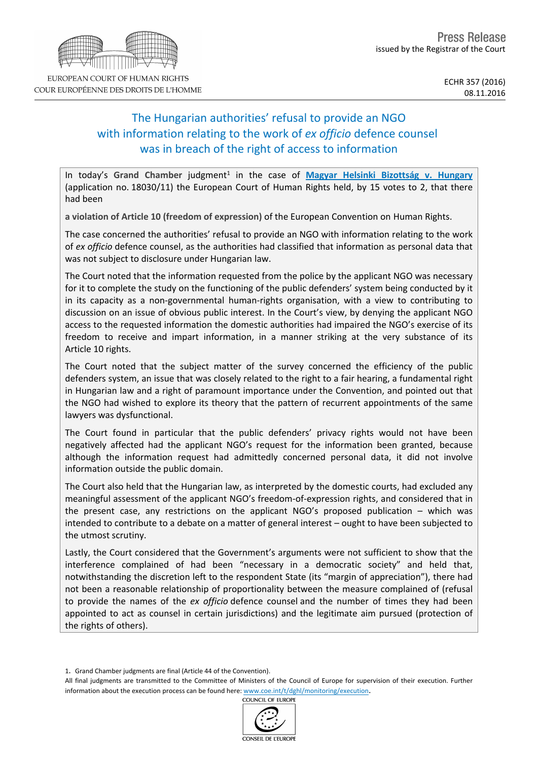# The Hungarian authorities' refusal to provide an NGO with information relating to the work of *ex officio* defence counsel was in breach of the right of access to information

In today's Grand Chamber judgment<sup>1</sup> in the case of [Magyar](http://hudoc.echr.coe.int/eng?i=001-167828) [Helsinki](http://hudoc.echr.coe.int/eng?i=001-167828) [Bizottság](http://hudoc.echr.coe.int/eng?i=001-167828) [v.](http://hudoc.echr.coe.int/eng?i=001-167828) [Hungary](http://hudoc.echr.coe.int/eng?i=001-167828) (application no. 18030/11) the European Court of Human Rights held, by 15 votes to 2, that there had been

**a violation of Article 10 (freedom of expression)** of the European Convention on Human Rights.

The case concerned the authorities' refusal to provide an NGO with information relating to the work of *ex officio* defence counsel, as the authorities had classified that information as personal data that was not subject to disclosure under Hungarian law.

The Court noted that the information requested from the police by the applicant NGO was necessary for it to complete the study on the functioning of the public defenders' system being conducted by it in its capacity as a non-governmental human-rights organisation, with a view to contributing to discussion on an issue of obvious public interest. In the Court's view, by denying the applicant NGO access to the requested information the domestic authorities had impaired the NGO's exercise of its freedom to receive and impart information, in a manner striking at the very substance of its Article 10 rights.

The Court noted that the subject matter of the survey concerned the efficiency of the public defenders system, an issue that was closely related to the right to a fair hearing, a fundamental right in Hungarian law and a right of paramount importance under the Convention, and pointed out that the NGO had wished to explore its theory that the pattern of recurrent appointments of the same lawyers was dysfunctional.

The Court found in particular that the public defenders' privacy rights would not have been negatively affected had the applicant NGO's request for the information been granted, because although the information request had admittedly concerned personal data, it did not involve information outside the public domain.

The Court also held that the Hungarian law, as interpreted by the domestic courts, had excluded any meaningful assessment of the applicant NGO's freedom-of-expression rights, and considered that in the present case, any restrictions on the applicant NGO's proposed publication – which was intended to contribute to a debate on a matter of general interest – ought to have been subjected to the utmost scrutiny.

Lastly, the Court considered that the Government's arguments were not sufficient to show that the interference complained of had been "necessary in a democratic society" and held that, notwithstanding the discretion left to the respondent State (its "margin of appreciation"), there had not been a reasonable relationship of proportionality between the measure complained of (refusal to provide the names of the *ex officio* defence counsel and the number of times they had been appointed to act as counsel in certain jurisdictions) and the legitimate aim pursued (protection of the rights of others).

COUNCIL OF EUROPI



<sup>1</sup>. Grand Chamber judgments are final (Article 44 of the Convention).

All final judgments are transmitted to the Committee of Ministers of the Council of Europe for supervision of their execution. Further information about the execution process can be found here: [www.coe.int/t/dghl/monitoring/execution](http://www.coe.int/t/dghl/monitoring/execution).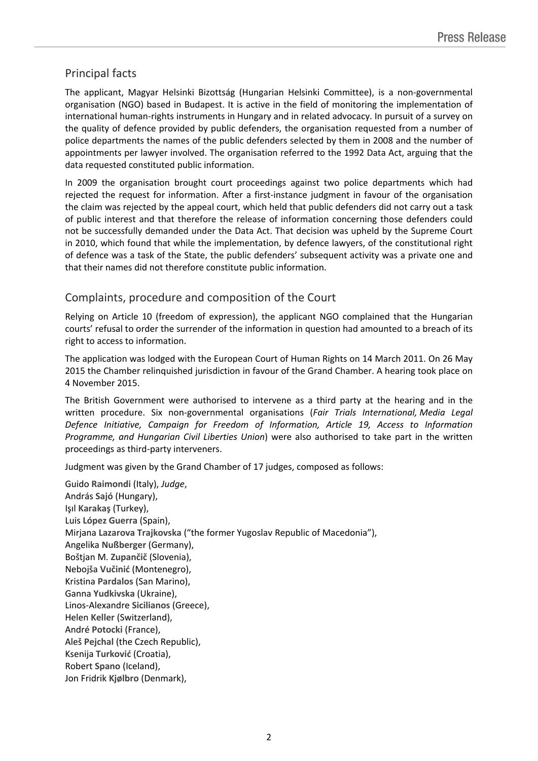## Principal facts

The applicant, Magyar Helsinki Bizottság (Hungarian Helsinki Committee), is a non-governmental organisation (NGO) based in Budapest. It is active in the field of monitoring the implementation of international human-rights instruments in Hungary and in related advocacy. In pursuit of a survey on the quality of defence provided by public defenders, the organisation requested from a number of police departments the names of the public defenders selected by them in 2008 and the number of appointments per lawyer involved. The organisation referred to the 1992 Data Act, arguing that the data requested constituted public information.

In 2009 the organisation brought court proceedings against two police departments which had rejected the request for information. After a first-instance judgment in favour of the organisation the claim was rejected by the appeal court, which held that public defenders did not carry out a task of public interest and that therefore the release of information concerning those defenders could not be successfully demanded under the Data Act. That decision was upheld by the Supreme Court in 2010, which found that while the implementation, by defence lawyers, of the constitutional right of defence was a task of the State, the public defenders' subsequent activity was a private one and that their names did not therefore constitute public information.

## Complaints, procedure and composition of the Court

Relying on Article 10 (freedom of expression), the applicant NGO complained that the Hungarian courts' refusal to order the surrender of the information in question had amounted to a breach of its right to access to information.

The application was lodged with the European Court of Human Rights on 14 March 2011. On 26 May 2015 the Chamber relinquished jurisdiction in favour of the Grand Chamber. A hearing took place on 4 November 2015.

The British Government were authorised to intervene as a third party at the hearing and in the written procedure. Six non-governmental organisations (*Fair Trials International, Media Legal Defence Initiative, Campaign for Freedom of Information, Article 19, Access to Information Programme, and Hungarian Civil Liberties Union*) were also authorised to take part in the written proceedings as third-party interveners.

Judgment was given by the Grand Chamber of 17 judges, composed as follows:

Guido **Raimondi** (Italy), *Judge*, András **Sajó** (Hungary), Işıl **Karakaş** (Turkey), Luis **López Guerra** (Spain), Mirjana **Lazarova Trajkovska** ("the former Yugoslav Republic of Macedonia"), Angelika **Nußberger** (Germany), Boštjan M. **Zupančič** (Slovenia), Nebojša **Vučinić** (Montenegro), Kristina **Pardalos** (San Marino), Ganna **Yudkivska** (Ukraine), Linos-Alexandre **Sicilianos** (Greece), Helen **Keller** (Switzerland), André **Potocki** (France), Aleš **Pejchal** (the Czech Republic), Ksenija **Turković** (Croatia), Robert **Spano** (Iceland), Jon Fridrik **Kjølbro** (Denmark),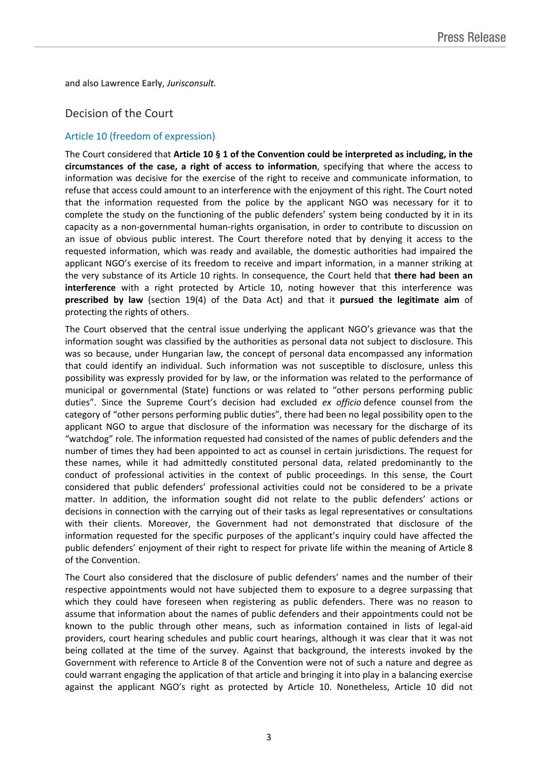and also Lawrence **Early**, *Jurisconsult.*

## Decision of the Court

### Article 10 (freedom of expression)

The Court considered that **Article 10 § 1 of the Convention could be interpreted as including, in the circumstances of the case, a right of access to information**, specifying that where the access to information was decisive for the exercise of the right to receive and communicate information, to refuse that access could amount to an interference with the enjoyment of this right. The Court noted that the information requested from the police by the applicant NGO was necessary for it to complete the study on the functioning of the public defenders' system being conducted by it in its capacity as a non-governmental human-rights organisation, in order to contribute to discussion on an issue of obvious public interest. The Court therefore noted that by denying it access to the requested information, which was ready and available, the domestic authorities had impaired the applicant NGO's exercise of its freedom to receive and impart information, in a manner striking at the very substance of its Article 10 rights. In consequence, the Court held that **there had been an interference** with a right protected by Article 10, noting however that this interference was **prescribed by law** (section 19(4) of the Data Act) and that it **pursued the legitimate aim** of protecting the rights of others.

The Court observed that the central issue underlying the applicant NGO's grievance was that the information sought was classified by the authorities as personal data not subject to disclosure. This was so because, under Hungarian law, the concept of personal data encompassed any information that could identify an individual. Such information was not susceptible to disclosure, unless this possibility was expressly provided for by law, or the information was related to the performance of municipal or governmental (State) functions or was related to "other persons performing public duties". Since the Supreme Court's decision had excluded *ex officio* defence counsel from the category of "other persons performing public duties", there had been no legal possibility open to the applicant NGO to argue that disclosure of the information was necessary for the discharge of its "watchdog" role. The information requested had consisted of the names of public defenders and the number of times they had been appointed to act as counsel in certain jurisdictions. The request for these names, while it had admittedly constituted personal data, related predominantly to the conduct of professional activities in the context of public proceedings. In this sense, the Court considered that public defenders' professional activities could not be considered to be a private matter. In addition, the information sought did not relate to the public defenders' actions or decisions in connection with the carrying out of their tasks as legal representatives or consultations with their clients. Moreover, the Government had not demonstrated that disclosure of the information requested for the specific purposes of the applicant's inquiry could have affected the public defenders' enjoyment of their right to respect for private life within the meaning of Article 8 of the Convention.

The Court also considered that the disclosure of public defenders' names and the number of their respective appointments would not have subjected them to exposure to a degree surpassing that which they could have foreseen when registering as public defenders. There was no reason to assume that information about the names of public defenders and their appointments could not be known to the public through other means, such as information contained in lists of legal-aid providers, court hearing schedules and public court hearings, although it was clear that it was not being collated at the time of the survey. Against that background, the interests invoked by the Government with reference to Article 8 of the Convention were not of such a nature and degree as could warrant engaging the application of that article and bringing it into play in a balancing exercise against the applicant NGO's right as protected by Article 10. Nonetheless, Article 10 did not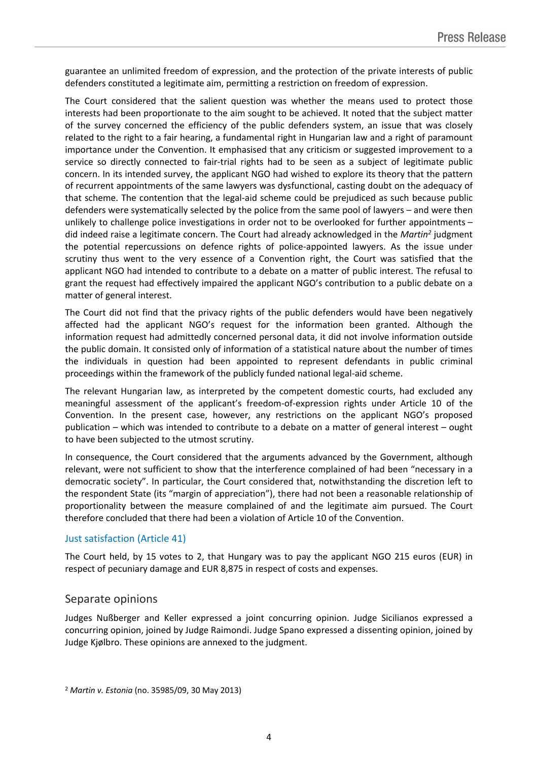guarantee an unlimited freedom of expression, and the protection of the private interests of public defenders constituted a legitimate aim, permitting a restriction on freedom of expression.

The Court considered that the salient question was whether the means used to protect those interests had been proportionate to the aim sought to be achieved. It noted that the subject matter of the survey concerned the efficiency of the public defenders system, an issue that was closely related to the right to a fair hearing, a fundamental right in Hungarian law and a right of paramount importance under the Convention. It emphasised that any criticism or suggested improvement to a service so directly connected to fair-trial rights had to be seen as a subject of legitimate public concern. In its intended survey, the applicant NGO had wished to explore its theory that the pattern of recurrent appointments of the same lawyers was dysfunctional, casting doubt on the adequacy of that scheme. The contention that the legal-aid scheme could be prejudiced as such because public defenders were systematically selected by the police from the same pool of lawyers – and were then unlikely to challenge police investigations in order not to be overlooked for further appointments – did indeed raise a legitimate concern. The Court had already acknowledged in the *Martin<sup>2</sup>* judgment the potential repercussions on defence rights of police-appointed lawyers. As the issue under scrutiny thus went to the very essence of a Convention right, the Court was satisfied that the applicant NGO had intended to contribute to a debate on a matter of public interest. The refusal to grant the request had effectively impaired the applicant NGO's contribution to a public debate on a matter of general interest.

The Court did not find that the privacy rights of the public defenders would have been negatively affected had the applicant NGO's request for the information been granted. Although the information request had admittedly concerned personal data, it did not involve information outside the public domain. It consisted only of information of a statistical nature about the number of times the individuals in question had been appointed to represent defendants in public criminal proceedings within the framework of the publicly funded national legal-aid scheme.

The relevant Hungarian law, as interpreted by the competent domestic courts, had excluded any meaningful assessment of the applicant's freedom-of-expression rights under Article 10 of the Convention. In the present case, however, any restrictions on the applicant NGO's proposed publication – which was intended to contribute to a debate on a matter of general interest – ought to have been subjected to the utmost scrutiny.

In consequence, the Court considered that the arguments advanced by the Government, although relevant, were not sufficient to show that the interference complained of had been "necessary in a democratic society". In particular, the Court considered that, notwithstanding the discretion left to the respondent State (its "margin of appreciation"), there had not been a reasonable relationship of proportionality between the measure complained of and the legitimate aim pursued. The Court therefore concluded that there had been a violation of Article 10 of the Convention.

#### Just satisfaction (Article 41)

The Court held, by 15 votes to 2, that Hungary was to pay the applicant NGO 215 euros (EUR) in respect of pecuniary damage and EUR 8,875 in respect of costs and expenses.

#### Separate opinions

Judges Nußberger and Keller expressed a joint concurring opinion. Judge Sicilianos expressed a concurring opinion, joined by Judge Raimondi. Judge Spano expressed a dissenting opinion, joined by Judge Kjølbro. These opinions are annexed to the judgment.